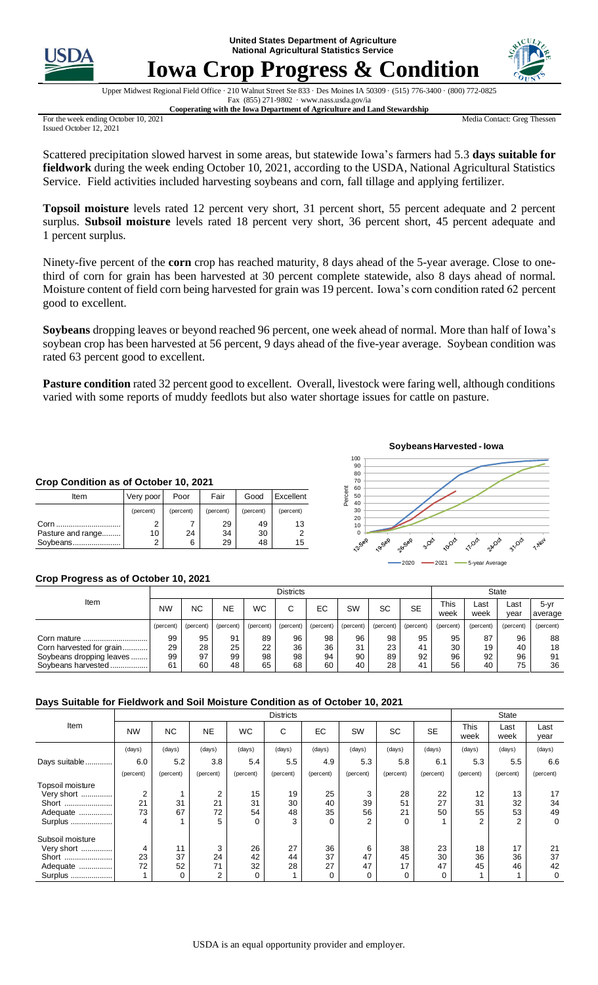**United States Department of Agriculture National Agricultural Statistics Service**



# **Iowa Crop Progress & Condition**



Upper Midwest Regional Field Office · 210 Walnut Street Ste 833 · Des Moines IA 50309 · (515) 776-3400 · (800) 772-0825 Fax (855) 271-9802 · www.nass.usda.gov/ia **Cooperating with the Iowa Department of Agriculture and Land Stewardship**

For the week ending October 10, 2021 Issued October 12, 2021

Media Contact: Greg Thessen

Scattered precipitation slowed harvest in some areas, but statewide Iowa's farmers had 5.3 **days suitable for fieldwork** during the week ending October 10, 2021, according to the USDA, National Agricultural Statistics Service. Field activities included harvesting soybeans and corn, fall tillage and applying fertilizer.

**Topsoil moisture** levels rated 12 percent very short, 31 percent short, 55 percent adequate and 2 percent surplus. **Subsoil moisture** levels rated 18 percent very short, 36 percent short, 45 percent adequate and percent surplus.

Ninety-five percent of the **corn** crop has reached maturity, 8 days ahead of the 5-year average. Close to onethird of corn for grain has been harvested at 30 percent complete statewide, also 8 days ahead of normal. Moisture content of field corn being harvested for grain was 19 percent. Iowa's corn condition rated 62 percent good to excellent.

**Soybeans** dropping leaves or beyond reached 96 percent, one week ahead of normal. More than half of Iowa's soybean crop has been harvested at 56 percent, 9 days ahead of the five-year average. Soybean condition was rated 63 percent good to excellent.

**Pasture condition** rated 32 percent good to excellent. Overall, livestock were faring well, although conditions varied with some reports of muddy feedlots but also water shortage issues for cattle on pasture.

#### **Crop Condition as of October 10, 2021**

| Item              | Very poor | Poor      | Fair      | Good      | Excellent |
|-------------------|-----------|-----------|-----------|-----------|-----------|
|                   | (percent) | (percent) | (percent) | (percent) | (percent) |
| Corn              |           |           | 29        | 49        | 13        |
| Pasture and range | 10        | 24        | 34        | 30        |           |
| Soybeans          | ົ         | 6         | 29        | 48        | 15        |



## **Crop Progress as of October 10, 2021**

|                          | <b>Districts</b> |           |           |           |           |           |           |           | <b>State</b> |                     |              |              |                 |
|--------------------------|------------------|-----------|-----------|-----------|-----------|-----------|-----------|-----------|--------------|---------------------|--------------|--------------|-----------------|
| Item                     | <b>NW</b>        | <b>NC</b> | <b>NE</b> | <b>WC</b> | С         | EC        | SW        | SC        | <b>SE</b>    | <b>This</b><br>week | ∟ast<br>week | ∟ast<br>year | 5-yr<br>average |
|                          | (percent)        | (percent) | (percent) | (percent) | (percent) | (percent) | (percent) | (percent) | (percent)    | (percent)           | (percent)    | (percent)    | (percent)       |
| Corn mature              | 99               | 95        | 91        | 89        | 96        | 98        | 96        | 98        | 95           | 95                  | 87           | 96           | 88              |
| Corn harvested for grain | 29               | 28        | 25        | 22        | 36        | 36        | 31        | 23        | 41           | 30                  | 19           | 40           | 18              |
| Soybeans dropping leaves | 99               | 97        | 99        | 98        | 98        | 94        | 90        | 89        | 92           | 96                  | 92           | 96           | 91              |
| Sovbeans harvested       | 61               | 60        | 48        | 65        | 68        | 60        | 40        | 28        | 41           | 56                  | 40           | 75           | 36              |

## **Days Suitable for Fieldwork and Soil Moisture Condition as of October 10, 2021**

|                  |                |           | <b>State</b> |           |           |           |           |           |           |              |              |              |
|------------------|----------------|-----------|--------------|-----------|-----------|-----------|-----------|-----------|-----------|--------------|--------------|--------------|
| Item             | <b>NW</b>      | <b>NC</b> | <b>NE</b>    | <b>WC</b> | С         | EC        | SW        | <b>SC</b> | <b>SE</b> | This<br>week | Last<br>week | Last<br>year |
|                  | (days)         | (days)    | (days)       | (days)    | (days)    | (days)    | (days)    | (days)    | (days)    | (days)       | (days)       | (days)       |
| Days suitable    | 6.0            | 5.2       | 3.8          | 5.4       | 5.5       | 4.9       | 5.3       | 5.8       | 6.1       | 5.3          | 5.5          | 6.6          |
|                  | (percent)      | (percent) | (percent)    | (percent) | (percent) | (percent) | (percent) | (percent) | (percent) | (percent)    | (percent)    | (percent)    |
| Topsoil moisture |                |           |              |           |           |           |           |           |           |              |              |              |
| Very short       | $\overline{2}$ |           | 2            | 15        | 19        | 25        | 3         | 28        | 22        | 12           | 13           | 17           |
| Short            | 21             | 31        | 21           | 31        | 30        | 40        | 39        | 51        | 27        | 31           | 32           | 34           |
| Adequate         | 73             | 67        | 72           | 54        | 48        | 35        | 56        | 21        | 50        | 55           | 53           | 49           |
| Surplus          | 4              |           | 5            | $\Omega$  | 3         | $\Omega$  | 2         | $\Omega$  |           | 2            | 2            | $\mathbf 0$  |
| Subsoil moisture |                |           |              |           |           |           |           |           |           |              |              |              |
| Very short       | 4              | 11        | 3            | 26        | 27        | 36        | 6         | 38        | 23        | 18           | 17           | 21           |
| Short            | 23             | 37        | 24           | 42        | 44        | 37        | 47        | 45        | 30        | 36           | 36           | 37           |
| Adequate         | 72             | 52        | 71           | 32        | 28        | 27        | 47        | 17        | 47        | 45           | 46           | 42           |
| Surplus          |                | 0         | 2            | 0         |           | 0         | 0         | 0         | 0         |              |              | 0            |